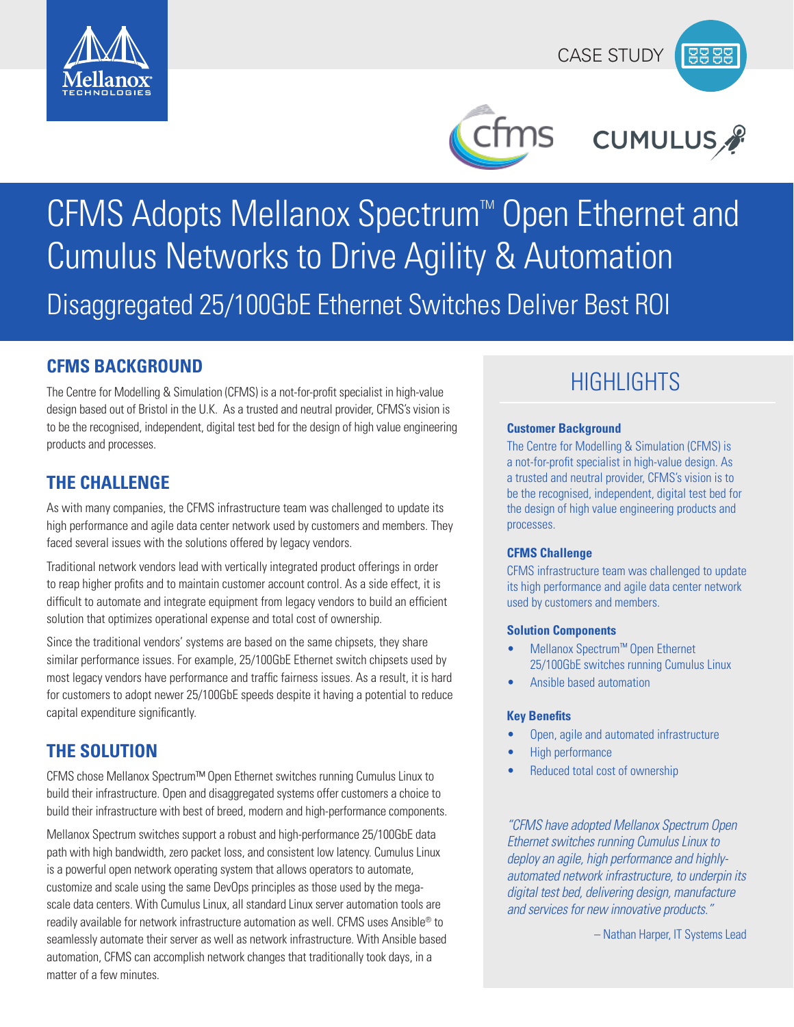



ms

# CUMULUS<sub>A</sub>

# CFMS Adopts Mellanox Spectrum<sup>™</sup> Open Ethernet and Cumulus Networks to Drive Agility & Automation Disaggregated 25/100GbE Ethernet Switches Deliver Best ROI

**CFMS BACKGROUND**<br>The Centre for Modelling & Simulation (CFMS) is a not-for-profit specialist in high-value **Proper Control Proper C** design based out of Bristol in the U.K. As a trusted and neutral provider, CFMS's vision is to be the recognised, independent, digital test bed for the design of high value engineering products and processes.

# **THE CHALLENGE**

As with many companies, the CFMS infrastructure team was challenged to update its high performance and agile data center network used by customers and members. They faced several issues with the solutions offered by legacy vendors.

Traditional network vendors lead with vertically integrated product offerings in order to reap higher profits and to maintain customer account control. As a side effect, it is difficult to automate and integrate equipment from legacy vendors to build an efficient solution that optimizes operational expense and total cost of ownership.

Since the traditional vendors' systems are based on the same chipsets, they share similar performance issues. For example, 25/100GbE Ethernet switch chipsets used by most legacy vendors have performance and traffic fairness issues. As a result, it is hard for customers to adopt newer 25/100GbE speeds despite it having a potential to reduce capital expenditure significantly.

# **THE SOLUTION**

CFMS chose Mellanox Spectrum™ Open Ethernet switches running Cumulus Linux to build their infrastructure. Open and disaggregated systems offer customers a choice to build their infrastructure with best of breed, modern and high-performance components.

Mellanox Spectrum switches support a robust and high-performance 25/100GbE data path with high bandwidth, zero packet loss, and consistent low latency. Cumulus Linux is a powerful open network operating system that allows operators to automate, customize and scale using the same DevOps principles as those used by the megascale data centers. With Cumulus Linux, all standard Linux server automation tools are readily available for network infrastructure automation as well. CFMS uses Ansible® to seamlessly automate their server as well as network infrastructure. With Ansible based automation, CFMS can accomplish network changes that traditionally took days, in a matter of a few minutes.

#### **Customer Background**

The Centre for Modelling & Simulation (CFMS) is a not-for-profit specialist in high-value design. As a trusted and neutral provider, CFMS's vision is to be the recognised, independent, digital test bed for the design of high value engineering products and processes.

### **CFMS Challenge**

CFMS infrastructure team was challenged to update its high performance and agile data center network used by customers and members.

### **Solution Components**

- Mellanox Spectrum™ Open Ethernet 25/100GbE switches running Cumulus Linux
- Ansible based automation

### **Key Benefits**

- Open, agile and automated infrastructure
- High performance
- Reduced total cost of ownership

*"CFMS have adopted Mellanox Spectrum Open Ethernet switches running Cumulus Linux to deploy an agile, high performance and highlyautomated network infrastructure, to underpin its digital test bed, delivering design, manufacture and services for new innovative products."* 

– Nathan Harper, IT Systems Lead